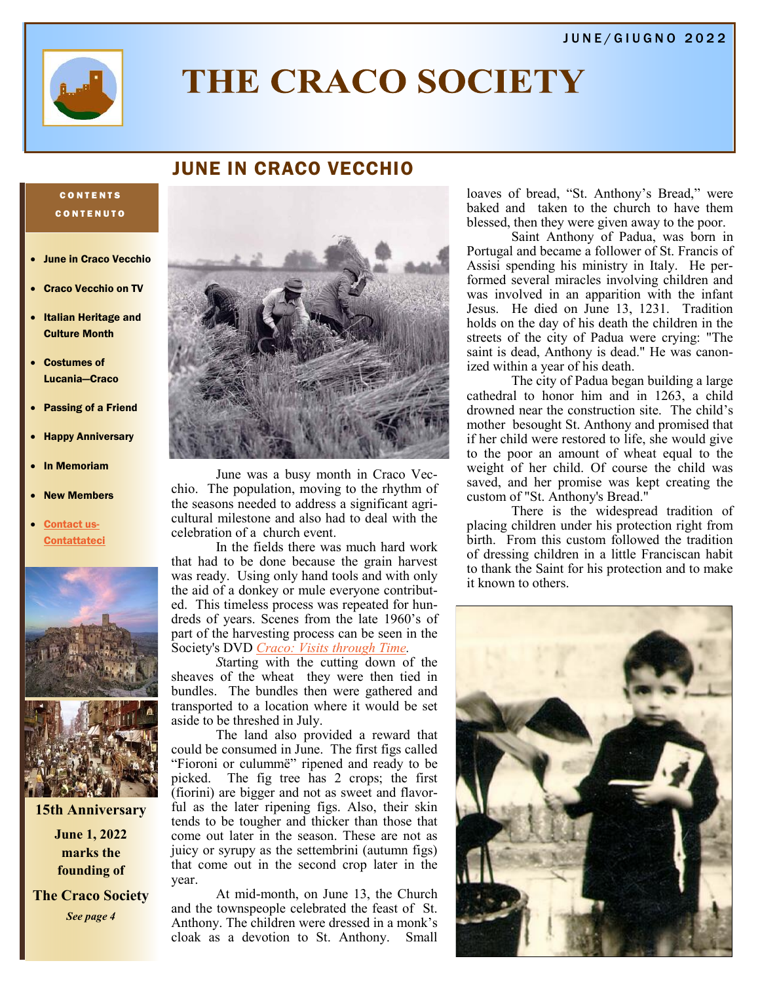#### JUNE/GIUGNO 2022



# THE CRACO SOCIETY

## JUNE IN CRACO VECCHIO

#### **CONTENTS** C O N T E N U T O

- June in Craco Vecchio
- Craco Vecchio on TV
- Italian Heritage and Culture Month
- Costumes of Lucania—Craco
- Passing of a Friend
- Happy Anniversary
- In Memoriam
- **New Members**
- [Contact us-](mailto:memberservices@thecracosociety.org)**[Contattateci](mailto:memberservices@thecracosociety.org)**



**15th Anniversary**

**June 1, 2022 marks the founding of** 

**The Craco Society** *See page 4*



June was a busy month in Craco Vecchio. The population, moving to the rhythm of the seasons needed to address a significant agricultural milestone and also had to deal with the celebration of a church event.

In the fields there was much hard work that had to be done because the grain harvest was ready. Using only hand tools and with only the aid of a donkey or mule everyone contributed. This timeless process was repeated for hundreds of years. Scenes from the late 1960's of part of the harvesting process can be seen in the Society's DVD *[Craco: Visits through Time.](https://www.youtube.com/watch?v=qEUewspoLGE)*

*S*tarting with the cutting down of the sheaves of the wheat they were then tied in bundles. The bundles then were gathered and transported to a location where it would be set aside to be threshed in July.

The land also provided a reward that could be consumed in June. The first figs called "Fioroni or culummë" ripened and ready to be picked. The fig tree has 2 crops; the first (fiorini) are bigger and not as sweet and flavorful as the later ripening figs. Also, their skin tends to be tougher and thicker than those that come out later in the season. These are not as juicy or syrupy as the settembrini (autumn figs) that come out in the second crop later in the year.

At mid-month, on June 13, the Church and the townspeople celebrated the feast of St. Anthony. The children were dressed in a monk's cloak as a devotion to St. Anthony. Small

loaves of bread, "St. Anthony's Bread," were baked and taken to the church to have them blessed, then they were given away to the poor.

Saint Anthony of Padua, was born in Portugal and became a follower of St. Francis of Assisi spending his ministry in Italy. He performed several miracles involving children and was involved in an apparition with the infant Jesus. He died on June 13, 1231. Tradition holds on the day of his death the children in the streets of the city of Padua were crying: "The saint is dead, Anthony is dead." He was canonized within a year of his death.

The city of Padua began building a large cathedral to honor him and in 1263, a child drowned near the construction site. The child's mother besought St. Anthony and promised that if her child were restored to life, she would give to the poor an amount of wheat equal to the weight of her child. Of course the child was saved, and her promise was kept creating the custom of "St. Anthony's Bread."

There is the widespread tradition of placing children under his protection right from birth. From this custom followed the tradition of dressing children in a little Franciscan habit to thank the Saint for his protection and to make it known to others.

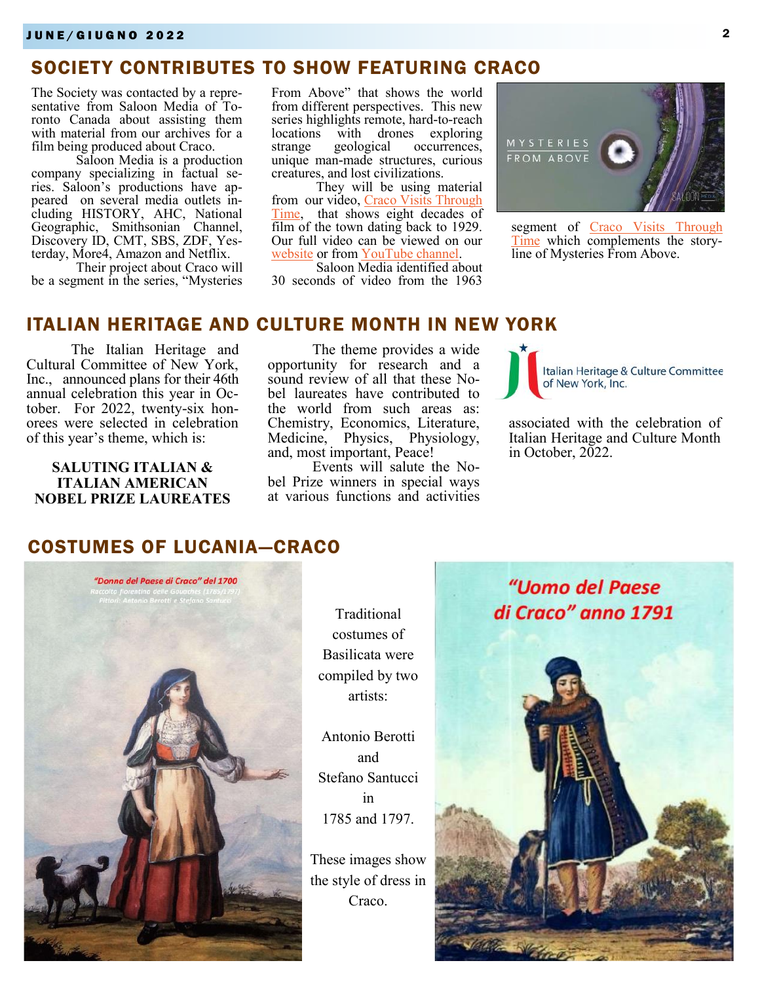## SOCIETY CONTRIBUTES TO SHOW FEATURING CRACO

The Society was contacted by a representative from Saloon Media of Toronto Canada about assisting them with material from our archives for a film being produced about Craco.

Saloon Media is a production company specializing in factual series. Saloon's productions have appeared on several media outlets including HISTORY, AHC, National Geographic, Smithsonian Channel, Discovery ID, CMT, SBS, ZDF, Yesterday, More4, Amazon and Netflix.

Their project about Craco will be a segment in the series, "Mysteries

From Above" that shows the world from different perspectives. This new series highlights remote, hard-to-reach locations with drones exploring<br>strange geological occurrences, strange geological occurrences, unique man-made structures, curious creatures, and lost civilizations.

They will be using material from our video, [Craco Visits Through](https://www.youtube.com/watch?v=qEUewspoLGE)  [Time,](https://www.youtube.com/watch?v=qEUewspoLGE) that shows eight decades of film of the town dating back to 1929. Our full video can be viewed on our [website](https://cracosociety.net) or from [YouTube channel.](https://www.youtube.com/channel/UCIyKuiDpPLQha265lP5AHzg) 

Saloon Media identified about 30 seconds of video from the 1963



segment of Craco Visits Through [Time](https://www.youtube.com/watch?v=qEUewspoLGE) which complements the storyline of Mysteries From Above.

#### ITALIAN HERITAGE AND CULTURE MONTH IN NEW YORK

The Italian Heritage and Cultural Committee of New York, Inc., announced plans for their 46th annual celebration this year in October. For 2022, twenty-six honorees were selected in celebration of this year's theme, which is:

**SALUTING ITALIAN & ITALIAN AMERICAN NOBEL PRIZE LAUREATES**

The theme provides a wide opportunity for research and a sound review of all that these Nobel laureates have contributed to the world from such areas as: Chemistry, Economics, Literature, Medicine, Physics, Physiology, and, most important, Peace!

Events will salute the Nobel Prize winners in special ways at various functions and activities Italian Heritage & Culture Committee of New York, Inc.

associated with the celebration of Italian Heritage and Culture Month in October, 2022.

## COSTUMES OF LUCANIA—CRACO



**Traditional** costumes of Basilicata were compiled by two artists:

Antonio Berotti and Stefano Santucci in 1785 and 1797.

These images show the style of dress in Craco.

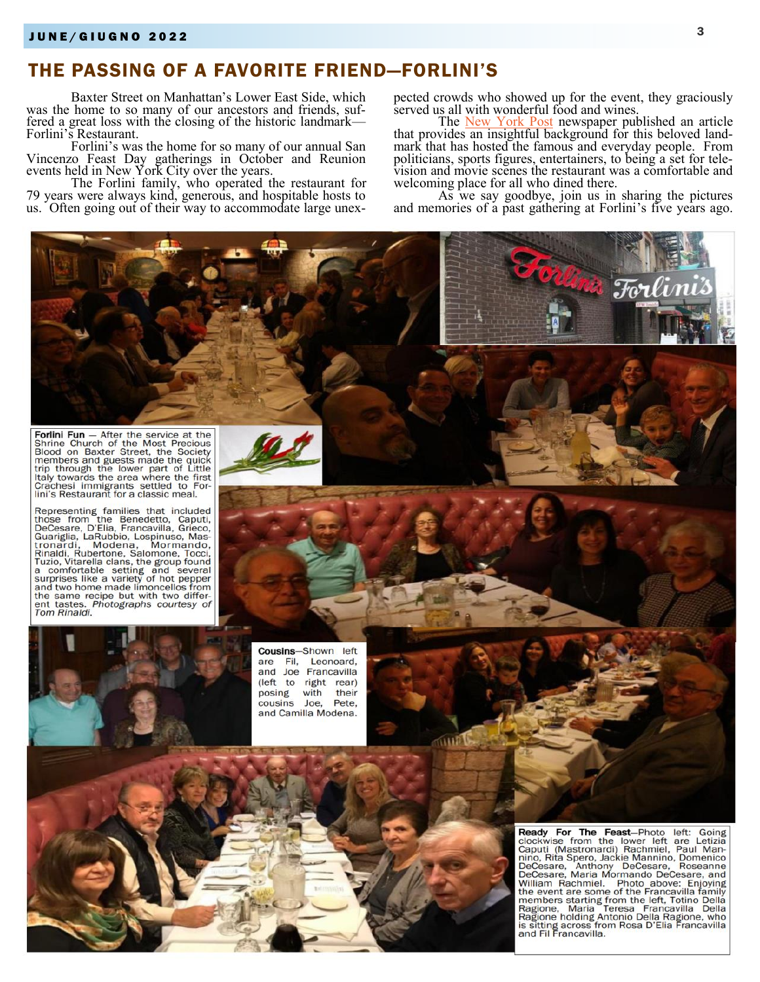# THE PASSING OF A FAVORITE FRIEND—FORLINI'S

Baxter Street on Manhattan's Lower East Side, which was the home to so many of our ancestors and friends, suffered a great loss with the closing of the historic landmark— Forlini's Restaurant.

Forlini's was the home for so many of our annual San Vincenzo Feast Day gatherings in October and Reunion events held in New York City over the years.

The Forlini family, who operated the restaurant for 79 years were always kind, generous, and hospitable hosts to us. Often going out of their way to accommodate large unexpected crowds who showed up for the event, they graciously served us all with wonderful food and wines.

The [New York Post](https://nypost.com/2022/04/07/sopranos-stars-and-giuliani-reflect-on-good-times-at-forlinis/) newspaper published an article that provides an insightful background for this beloved landmark that has hosted the famous and everyday people. From politicians, sports figures, entertainers, to being a set for television and movie scenes the restaurant was a comfortable and welcoming place for all who dined there.

As we say goodbye, join us in sharing the pictures and memories of a past gathering at Forlini's five years ago.